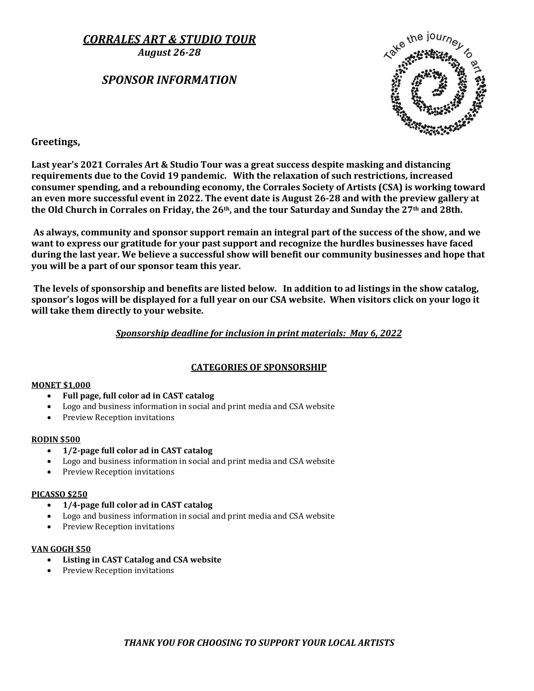*CORRALES ART & STUDIO TOUR*

*August 26-28*

# *SPONSOR INFORMATION*



### **Greetings,**

**Last year's 2021 Corrales Art & Studio Tour was a great success despite masking and distancing requirements due to the Covid 19 pandemic. With the relaxation of such restrictions, increased consumer spending, and a rebounding economy, the Corrales Society of Artists (CSA) is working toward an even more successful event in 2022. The event date is August 26-28 and with the preview gallery at the Old Church in Corrales on Friday, the 26th, and the tour Saturday and Sunday the 27th and 28th.**

**As always, community and sponsor support remain an integral part of the success of the show, and we want to express our gratitude for your past support and recognize the hurdles businesses have faced during the last year. We believe a successful show will benefit our community businesses and hope that you will be a part of our sponsor team this year.**

**The levels of sponsorship and benefits are listed below. In addition to ad listings in the show catalog, sponsor's logos will be displayed for a full year on our CSA website. When visitors click on your logo it will take them directly to your website.**

### *Sponsorship deadline for inclusion in print materials: May 6, 2022*

### **CATEGORIES OF SPONSORSHIP**

#### **MONET \$1,000**

- **Full page, full color ad in CAST catalog**
- Logo and business information in social and print media and CSA website
- Preview Reception invitations

#### **RODIN \$500**

- **1/2-page full color ad in CAST catalog**
- Logo and business information in social and print media and CSA website
- Preview Reception invitations

#### **PICASSO \$250**

- **1/4-page full color ad in CAST catalog**
- Logo and business information in social and print media and CSA website
- Preview Reception invitations

#### **VAN GOGH \$50**

- **Listing in CAST Catalog and CSA website**
- Preview Reception invitations